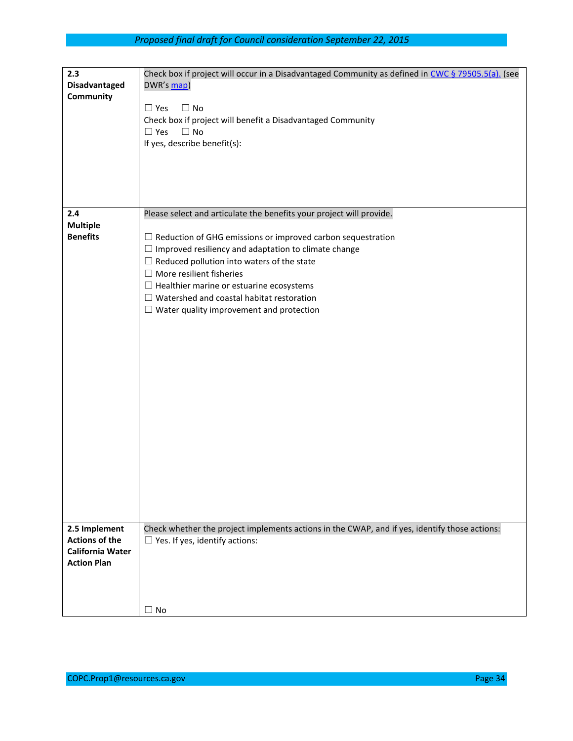| 2.3<br><b>Disadvantaged</b><br>Community                                                | Check box if project will occur in a Disadvantaged Community as defined in CWC § 79505.5(a). (see<br>DWR's map)<br>$\square$ No<br>$\Box$ Yes<br>Check box if project will benefit a Disadvantaged Community<br>$\Box$ Yes<br>$\Box$ No<br>If yes, describe benefit(s):                                                                                                                                                                                     |
|-----------------------------------------------------------------------------------------|-------------------------------------------------------------------------------------------------------------------------------------------------------------------------------------------------------------------------------------------------------------------------------------------------------------------------------------------------------------------------------------------------------------------------------------------------------------|
|                                                                                         |                                                                                                                                                                                                                                                                                                                                                                                                                                                             |
| 2.4<br><b>Multiple</b><br><b>Benefits</b>                                               | Please select and articulate the benefits your project will provide.<br>$\Box$ Reduction of GHG emissions or improved carbon sequestration<br>$\Box$ Improved resiliency and adaptation to climate change<br>$\Box$ Reduced pollution into waters of the state<br>$\Box$ More resilient fisheries<br>$\Box$ Healthier marine or estuarine ecosystems<br>$\Box$ Watershed and coastal habitat restoration<br>$\Box$ Water quality improvement and protection |
| 2.5 Implement<br><b>Actions of the</b><br><b>California Water</b><br><b>Action Plan</b> | Check whether the project implements actions in the CWAP, and if yes, identify those actions:<br>$\Box$ Yes. If yes, identify actions:<br>$\Box$ No                                                                                                                                                                                                                                                                                                         |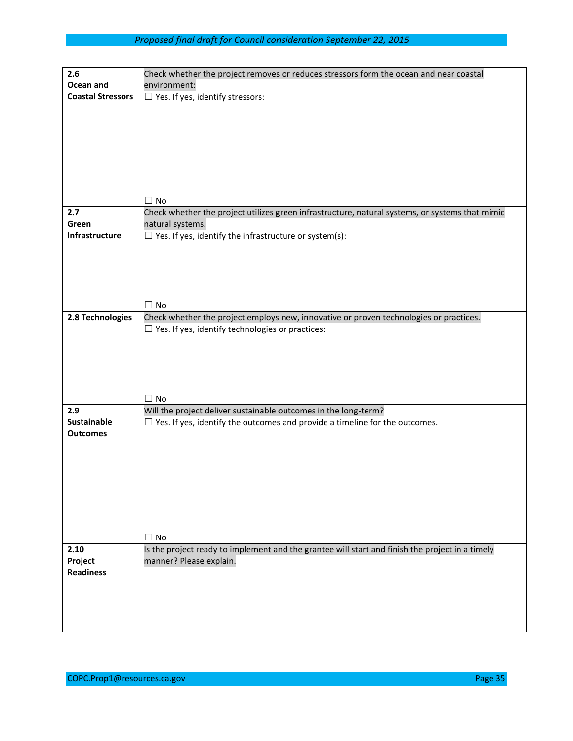| 2.6                      | Check whether the project removes or reduces stressors form the ocean and near coastal                                     |
|--------------------------|----------------------------------------------------------------------------------------------------------------------------|
| Ocean and                | environment:                                                                                                               |
| <b>Coastal Stressors</b> | $\Box$ Yes. If yes, identify stressors:                                                                                    |
|                          |                                                                                                                            |
|                          |                                                                                                                            |
|                          |                                                                                                                            |
|                          |                                                                                                                            |
|                          |                                                                                                                            |
|                          |                                                                                                                            |
|                          | $\Box$ No                                                                                                                  |
| 2.7                      | Check whether the project utilizes green infrastructure, natural systems, or systems that mimic                            |
| Green                    | natural systems.                                                                                                           |
| Infrastructure           | $\Box$ Yes. If yes, identify the infrastructure or system(s):                                                              |
|                          |                                                                                                                            |
|                          |                                                                                                                            |
|                          |                                                                                                                            |
|                          |                                                                                                                            |
|                          | $\Box$ No                                                                                                                  |
| 2.8 Technologies         | Check whether the project employs new, innovative or proven technologies or practices.                                     |
|                          | $\Box$ Yes. If yes, identify technologies or practices:                                                                    |
|                          |                                                                                                                            |
|                          |                                                                                                                            |
|                          |                                                                                                                            |
|                          |                                                                                                                            |
|                          | $\Box$ No                                                                                                                  |
| 2.9                      | Will the project deliver sustainable outcomes in the long-term?                                                            |
| <b>Sustainable</b>       | $\Box$ Yes. If yes, identify the outcomes and provide a timeline for the outcomes.                                         |
| <b>Outcomes</b>          |                                                                                                                            |
|                          |                                                                                                                            |
|                          |                                                                                                                            |
|                          |                                                                                                                            |
|                          |                                                                                                                            |
|                          |                                                                                                                            |
|                          |                                                                                                                            |
|                          |                                                                                                                            |
|                          | $\Box$ No                                                                                                                  |
| 2.10<br>Project          | Is the project ready to implement and the grantee will start and finish the project in a timely<br>manner? Please explain. |
| <b>Readiness</b>         |                                                                                                                            |
|                          |                                                                                                                            |
|                          |                                                                                                                            |
|                          |                                                                                                                            |
|                          |                                                                                                                            |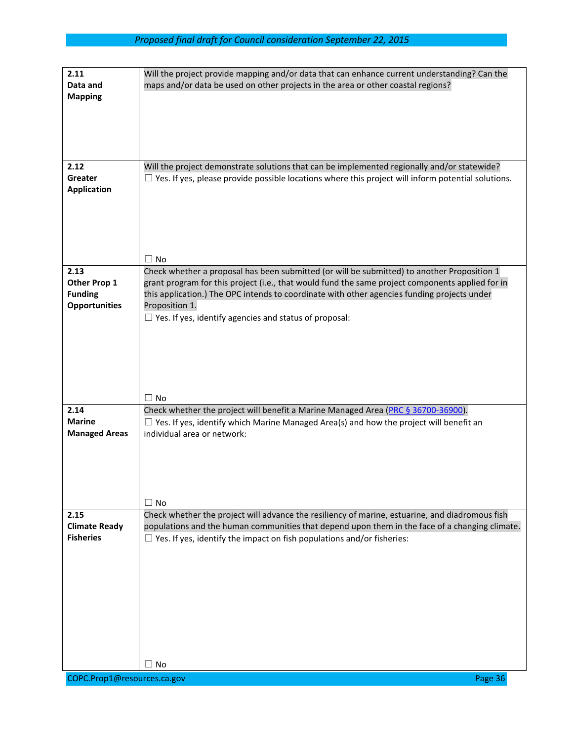| 2.11                                     | Will the project provide mapping and/or data that can enhance current understanding? Can the              |
|------------------------------------------|-----------------------------------------------------------------------------------------------------------|
| Data and                                 | maps and/or data be used on other projects in the area or other coastal regions?                          |
| <b>Mapping</b>                           |                                                                                                           |
|                                          |                                                                                                           |
|                                          |                                                                                                           |
|                                          |                                                                                                           |
|                                          |                                                                                                           |
|                                          |                                                                                                           |
| 2.12                                     | Will the project demonstrate solutions that can be implemented regionally and/or statewide?               |
| Greater                                  | $\Box$ Yes. If yes, please provide possible locations where this project will inform potential solutions. |
| <b>Application</b>                       |                                                                                                           |
|                                          |                                                                                                           |
|                                          |                                                                                                           |
|                                          |                                                                                                           |
|                                          |                                                                                                           |
|                                          |                                                                                                           |
|                                          | $\Box$ No                                                                                                 |
| 2.13                                     | Check whether a proposal has been submitted (or will be submitted) to another Proposition 1               |
| Other Prop 1                             | grant program for this project (i.e., that would fund the same project components applied for in          |
| <b>Funding</b>                           | this application.) The OPC intends to coordinate with other agencies funding projects under               |
| <b>Opportunities</b>                     | Proposition 1.<br>$\Box$ Yes. If yes, identify agencies and status of proposal:                           |
|                                          |                                                                                                           |
|                                          |                                                                                                           |
|                                          |                                                                                                           |
|                                          |                                                                                                           |
|                                          |                                                                                                           |
|                                          |                                                                                                           |
|                                          | $\Box$ No                                                                                                 |
| 2.14                                     | Check whether the project will benefit a Marine Managed Area (PRC § 36700-36900).                         |
| <b>Marine</b>                            | $\Box$ Yes. If yes, identify which Marine Managed Area(s) and how the project will benefit an             |
| <b>Managed Areas</b>                     | individual area or network:                                                                               |
|                                          |                                                                                                           |
|                                          |                                                                                                           |
|                                          |                                                                                                           |
|                                          |                                                                                                           |
|                                          |                                                                                                           |
|                                          | $\Box$ No                                                                                                 |
| 2.15                                     | Check whether the project will advance the resiliency of marine, estuarine, and diadromous fish           |
| <b>Climate Ready</b><br><b>Fisheries</b> | populations and the human communities that depend upon them in the face of a changing climate.            |
|                                          | $\Box$ Yes. If yes, identify the impact on fish populations and/or fisheries:                             |
|                                          |                                                                                                           |
|                                          |                                                                                                           |
|                                          |                                                                                                           |
|                                          |                                                                                                           |
|                                          |                                                                                                           |
|                                          |                                                                                                           |
|                                          |                                                                                                           |
|                                          |                                                                                                           |
|                                          |                                                                                                           |
|                                          | $\Box$ No                                                                                                 |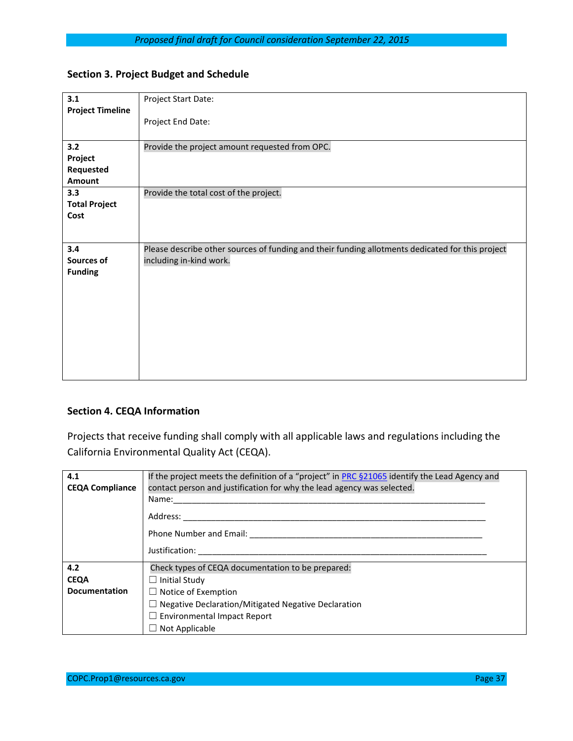## **Section 3. Project Budget and Schedule**

| 3.1                     | Project Start Date:                                                                              |
|-------------------------|--------------------------------------------------------------------------------------------------|
| <b>Project Timeline</b> |                                                                                                  |
|                         | Project End Date:                                                                                |
|                         |                                                                                                  |
| 3.2                     | Provide the project amount requested from OPC.                                                   |
| Project                 |                                                                                                  |
| Requested               |                                                                                                  |
| <b>Amount</b>           |                                                                                                  |
| 3.3                     | Provide the total cost of the project.                                                           |
| <b>Total Project</b>    |                                                                                                  |
| Cost                    |                                                                                                  |
|                         |                                                                                                  |
|                         |                                                                                                  |
| 3.4                     | Please describe other sources of funding and their funding allotments dedicated for this project |
| Sources of              | including in-kind work.                                                                          |
| <b>Funding</b>          |                                                                                                  |
|                         |                                                                                                  |
|                         |                                                                                                  |
|                         |                                                                                                  |
|                         |                                                                                                  |
|                         |                                                                                                  |
|                         |                                                                                                  |
|                         |                                                                                                  |
|                         |                                                                                                  |
|                         |                                                                                                  |
|                         |                                                                                                  |

#### **Section 4. CEQA Information**

Projects that receive funding shall comply with all applicable laws and regulations including the California Environmental Quality Act (CEQA).

| 4.1<br><b>CEQA Compliance</b> | If the project meets the definition of a "project" in PRC §21065 identify the Lead Agency and<br>contact person and justification for why the lead agency was selected.<br>Name:<br>Address: ______<br>Phone Number and Email: _____________<br>Justification: |
|-------------------------------|----------------------------------------------------------------------------------------------------------------------------------------------------------------------------------------------------------------------------------------------------------------|
| 4.2<br><b>CEQA</b>            | Check types of CEQA documentation to be prepared:<br>$\Box$ Initial Study                                                                                                                                                                                      |
| <b>Documentation</b>          | $\Box$ Notice of Exemption                                                                                                                                                                                                                                     |
|                               | $\Box$ Negative Declaration/Mitigated Negative Declaration                                                                                                                                                                                                     |
|                               | $\Box$ Environmental Impact Report                                                                                                                                                                                                                             |
|                               | $\Box$ Not Applicable                                                                                                                                                                                                                                          |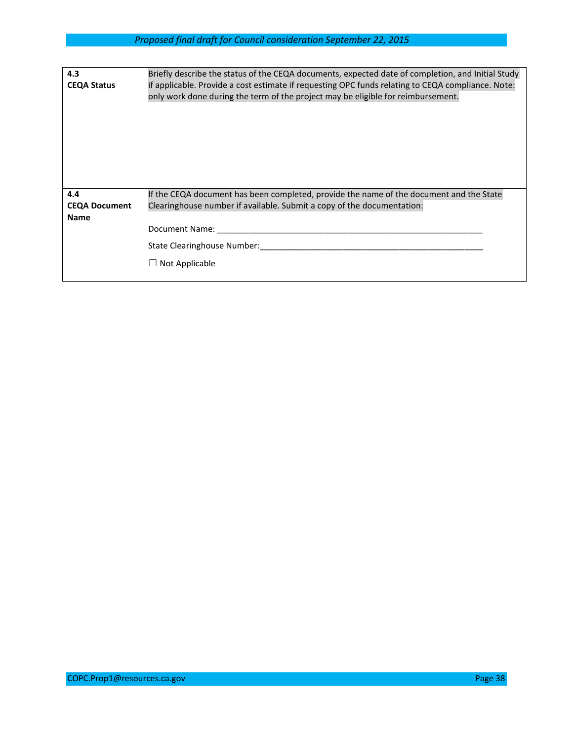| 4.3<br><b>CEQA Status</b> | Briefly describe the status of the CEQA documents, expected date of completion, and Initial Study<br>if applicable. Provide a cost estimate if requesting OPC funds relating to CEQA compliance. Note:<br>only work done during the term of the project may be eligible for reimbursement. |
|---------------------------|--------------------------------------------------------------------------------------------------------------------------------------------------------------------------------------------------------------------------------------------------------------------------------------------|
| 4.4                       | If the CEQA document has been completed, provide the name of the document and the State                                                                                                                                                                                                    |
| <b>CEQA Document</b>      | Clearinghouse number if available. Submit a copy of the documentation:                                                                                                                                                                                                                     |
| <b>Name</b>               | Document Name:                                                                                                                                                                                                                                                                             |
|                           |                                                                                                                                                                                                                                                                                            |
|                           | State Clearinghouse Number:                                                                                                                                                                                                                                                                |
|                           | $\Box$ Not Applicable                                                                                                                                                                                                                                                                      |
|                           |                                                                                                                                                                                                                                                                                            |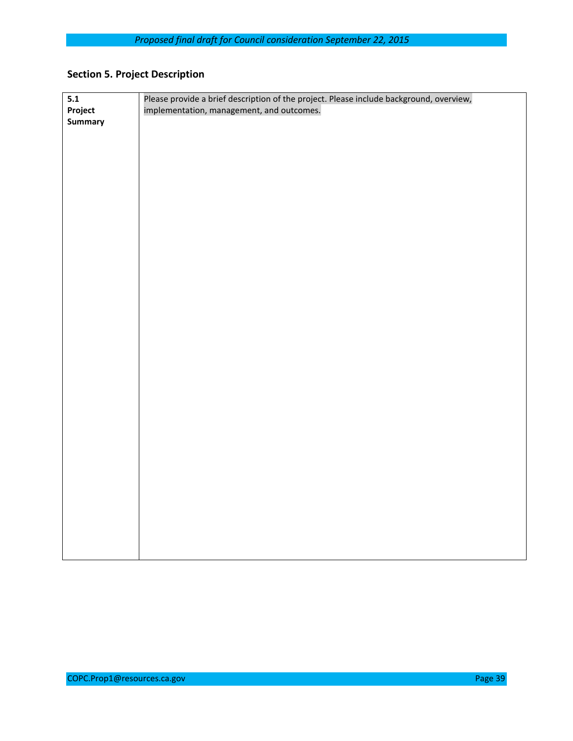# **Section 5. Project Description**

| $\overline{5.1}$ | Please provide a brief description of the project. Please include background, overview, |
|------------------|-----------------------------------------------------------------------------------------|
| Project          | implementation, management, and outcomes.                                               |
| <b>Summary</b>   |                                                                                         |
|                  |                                                                                         |
|                  |                                                                                         |
|                  |                                                                                         |
|                  |                                                                                         |
|                  |                                                                                         |
|                  |                                                                                         |
|                  |                                                                                         |
|                  |                                                                                         |
|                  |                                                                                         |
|                  |                                                                                         |
|                  |                                                                                         |
|                  |                                                                                         |
|                  |                                                                                         |
|                  |                                                                                         |
|                  |                                                                                         |
|                  |                                                                                         |
|                  |                                                                                         |
|                  |                                                                                         |
|                  |                                                                                         |
|                  |                                                                                         |
|                  |                                                                                         |
|                  |                                                                                         |
|                  |                                                                                         |
|                  |                                                                                         |
|                  |                                                                                         |
|                  |                                                                                         |
|                  |                                                                                         |
|                  |                                                                                         |
|                  |                                                                                         |
|                  |                                                                                         |
|                  |                                                                                         |
|                  |                                                                                         |
|                  |                                                                                         |
|                  |                                                                                         |
|                  |                                                                                         |
|                  |                                                                                         |
|                  |                                                                                         |
|                  |                                                                                         |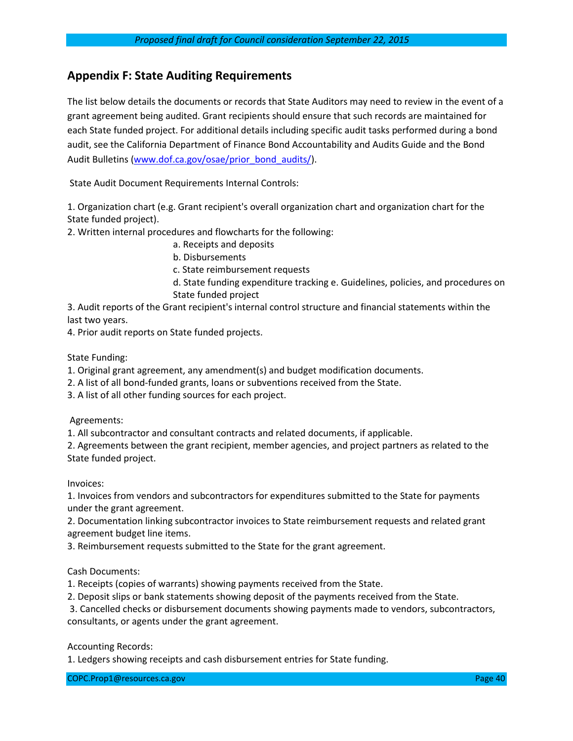## **Appendix F: State Auditing Requirements**

The list below details the documents or records that State Auditors may need to review in the event of a grant agreement being audited. Grant recipients should ensure that such records are maintained for each State funded project. For additional details including specific audit tasks performed during a bond audit, see the California Department of Finance Bond Accountability and Audits Guide and the Bond Audit Bulletins [\(www.dof.ca.gov/osae/prior\\_bond\\_audits/\)](http://www.dof.ca.gov/osae/prior_bond_audits/).

State Audit Document Requirements Internal Controls:

1. Organization chart (e.g. Grant recipient's overall organization chart and organization chart for the State funded project).

2. Written internal procedures and flowcharts for the following:

- a. Receipts and deposits
- b. Disbursements

c. State reimbursement requests

d. State funding expenditure tracking e. Guidelines, policies, and procedures on State funded project

3. Audit reports of the Grant recipient's internal control structure and financial statements within the last two years.

4. Prior audit reports on State funded projects.

State Funding:

1. Original grant agreement, any amendment(s) and budget modification documents.

2. A list of all bond-funded grants, loans or subventions received from the State.

3. A list of all other funding sources for each project.

Agreements:

1. All subcontractor and consultant contracts and related documents, if applicable.

2. Agreements between the grant recipient, member agencies, and project partners as related to the State funded project.

Invoices:

1. Invoices from vendors and subcontractors for expenditures submitted to the State for payments under the grant agreement.

2. Documentation linking subcontractor invoices to State reimbursement requests and related grant agreement budget line items.

3. Reimbursement requests submitted to the State for the grant agreement.

Cash Documents:

1. Receipts (copies of warrants) showing payments received from the State.

2. Deposit slips or bank statements showing deposit of the payments received from the State.

3. Cancelled checks or disbursement documents showing payments made to vendors, subcontractors, consultants, or agents under the grant agreement.

Accounting Records:

1. Ledgers showing receipts and cash disbursement entries for State funding.

COPC.Prop1@resources.ca.gov Page 40 and Control of Page 40 and Page 40 and Page 40 and Page 40 and Page 40 and Page 40